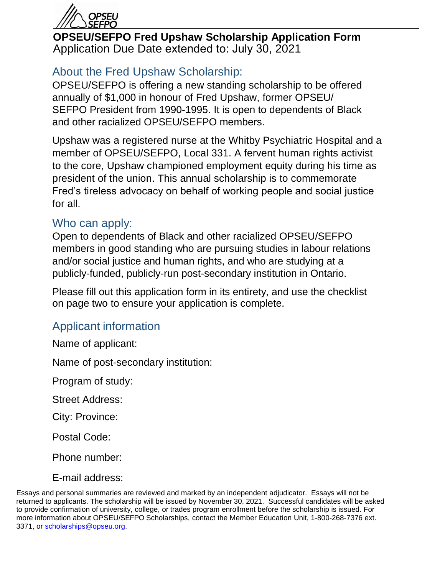

**OPSEU/SEFPO Fred Upshaw Scholarship Application Form** Application Due Date extended to: July 30, 2021

# About the Fred Upshaw Scholarship:

OPSEU/SEFPO is offering a new standing scholarship to be offered annually of \$1,000 in honour of Fred Upshaw, former OPSEU/ SEFPO President from 1990-1995. It is open to dependents of Black and other racialized OPSEU/SEFPO members.

Upshaw was a registered nurse at the Whitby Psychiatric Hospital and a member of OPSEU/SEFPO, Local 331. A fervent human rights activist to the core, Upshaw championed employment equity during his time as president of the union. This annual scholarship is to commemorate Fred's tireless advocacy on behalf of working people and social justice for all.

#### Who can apply:

Open to dependents of Black and other racialized OPSEU/SEFPO members in good standing who are pursuing studies in labour relations and/or social justice and human rights, and who are studying at a publicly-funded, publicly-run post-secondary institution in Ontario.

Please fill out this application form in its entirety, and use the checklist on page two to ensure your application is complete.

### Applicant information

Name of applicant:

Name of post-secondary institution:

Program of study:

Street Address:

City: Province:

Postal Code:

Phone number:

E-mail address:

Essays and personal summaries are reviewed and marked by an independent adjudicator. Essays will not be returned to applicants. The scholarship will be issued by November 30, 2021. Successful candidates will be asked to provide confirmation of university, college, or trades program enrollment before the scholarship is issued. For more information about OPSEU/SEFPO Scholarships, contact the Member Education Unit, 1-800-268-7376 ext. 3371, or [scholarships@opseu.org.](mailto:scholarships@opseu.org)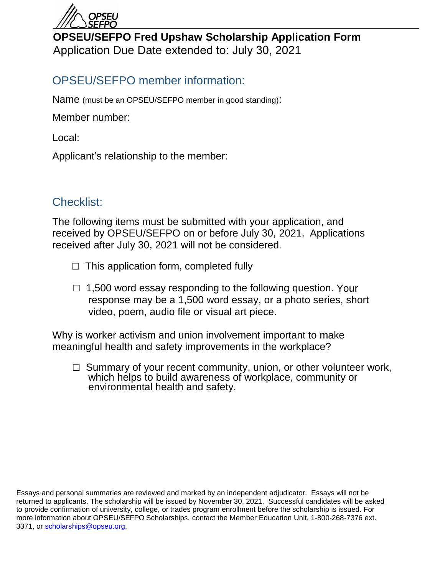

# **OPSEU/SEFPO Fred Upshaw Scholarship Application Form** Application Due Date extended to: July 30, 2021

# OPSEU/SEFPO member information:

Name (must be an OPSEU/SEFPO member in good standing):

Member number:

Local:

Applicant's relationship to the member:

### Checklist:

The following items must be submitted with your application, and received by OPSEU/SEFPO on or before July 30, 2021. Applications received after July 30, 2021 will not be considered.

- $\Box$  This application form, completed fully
- $\Box$  1,500 word essay responding to the following question. Your response may be a 1,500 word essay, or a photo series, short video, poem, audio file or visual art piece.

Why is worker activism and union involvement important to make meaningful health and safety improvements in the workplace?

 $\Box$  Summary of your recent community, union, or other volunteer work, which helps to build awareness of workplace, community or environmental health and safety.

Essays and personal summaries are reviewed and marked by an independent adjudicator. Essays will not be returned to applicants. The scholarship will be issued by November 30, 2021. Successful candidates will be asked to provide confirmation of university, college, or trades program enrollment before the scholarship is issued. For more information about OPSEU/SEFPO Scholarships, contact the Member Education Unit, 1-800-268-7376 ext. 3371, or [scholarships@opseu.org.](mailto:scholarships@opseu.org)